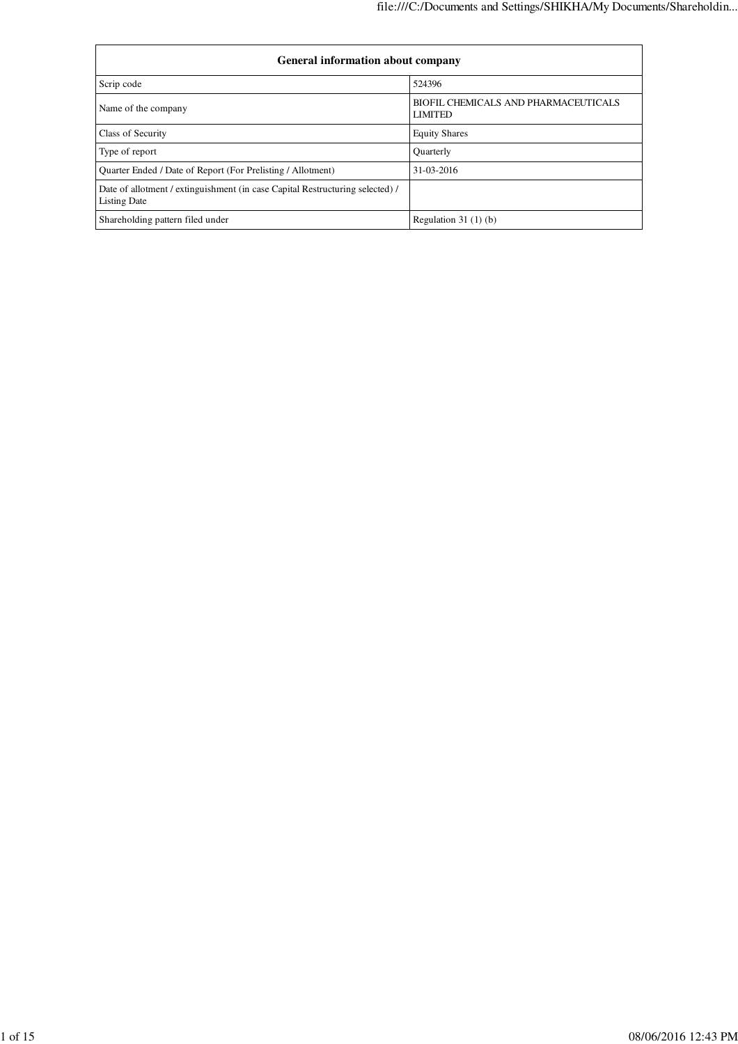| <b>General information about company</b>                                                      |                                                        |  |  |  |  |  |  |  |
|-----------------------------------------------------------------------------------------------|--------------------------------------------------------|--|--|--|--|--|--|--|
| Scrip code                                                                                    | 524396                                                 |  |  |  |  |  |  |  |
| Name of the company                                                                           | BIOFIL CHEMICALS AND PHARMACEUTICALS<br><b>LIMITED</b> |  |  |  |  |  |  |  |
| Class of Security                                                                             | <b>Equity Shares</b>                                   |  |  |  |  |  |  |  |
| Type of report                                                                                | <b>Ouarterly</b>                                       |  |  |  |  |  |  |  |
| Quarter Ended / Date of Report (For Prelisting / Allotment)                                   | 31-03-2016                                             |  |  |  |  |  |  |  |
| Date of allotment / extinguishment (in case Capital Restructuring selected) /<br>Listing Date |                                                        |  |  |  |  |  |  |  |
| Shareholding pattern filed under                                                              | Regulation $31(1)(b)$                                  |  |  |  |  |  |  |  |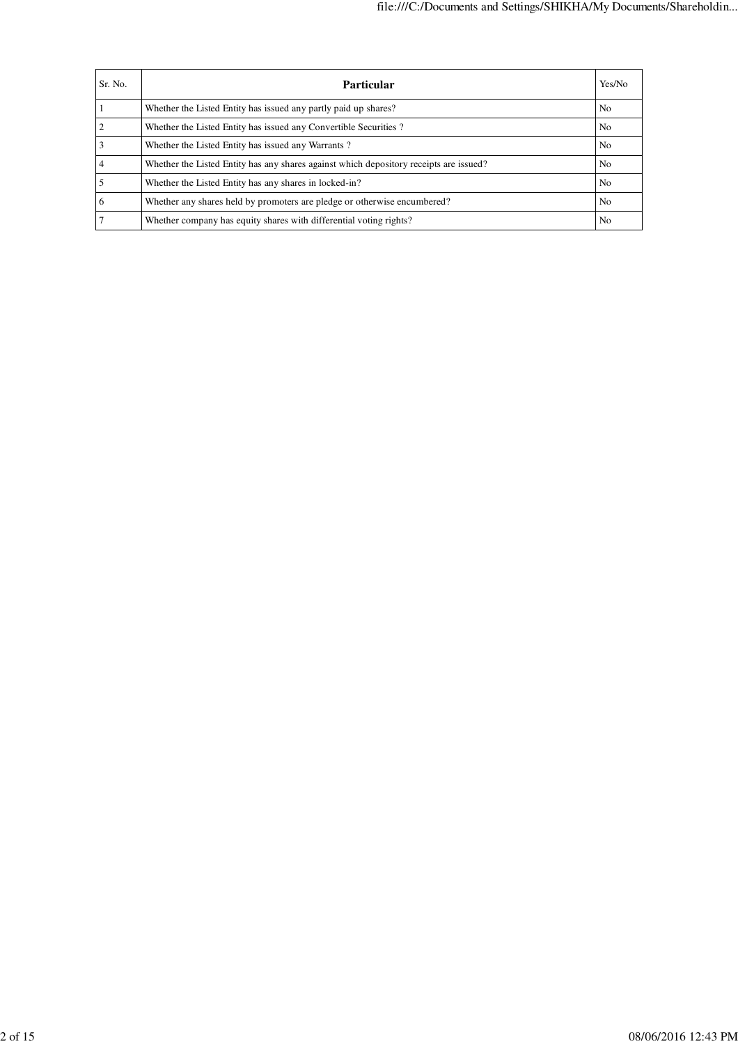| Sr. No.        | Yes/No<br><b>Particular</b>                                                            |                |  |  |  |  |  |  |
|----------------|----------------------------------------------------------------------------------------|----------------|--|--|--|--|--|--|
|                | Whether the Listed Entity has issued any partly paid up shares?                        | N <sub>o</sub> |  |  |  |  |  |  |
| $\overline{2}$ | Whether the Listed Entity has issued any Convertible Securities?                       | N <sub>o</sub> |  |  |  |  |  |  |
| 3              | Whether the Listed Entity has issued any Warrants?                                     | No.            |  |  |  |  |  |  |
| 4              | Whether the Listed Entity has any shares against which depository receipts are issued? | N <sub>o</sub> |  |  |  |  |  |  |
|                | Whether the Listed Entity has any shares in locked-in?                                 | N <sub>o</sub> |  |  |  |  |  |  |
| 6              | Whether any shares held by promoters are pledge or otherwise encumbered?               | N <sub>o</sub> |  |  |  |  |  |  |
|                | Whether company has equity shares with differential voting rights?                     | N <sub>0</sub> |  |  |  |  |  |  |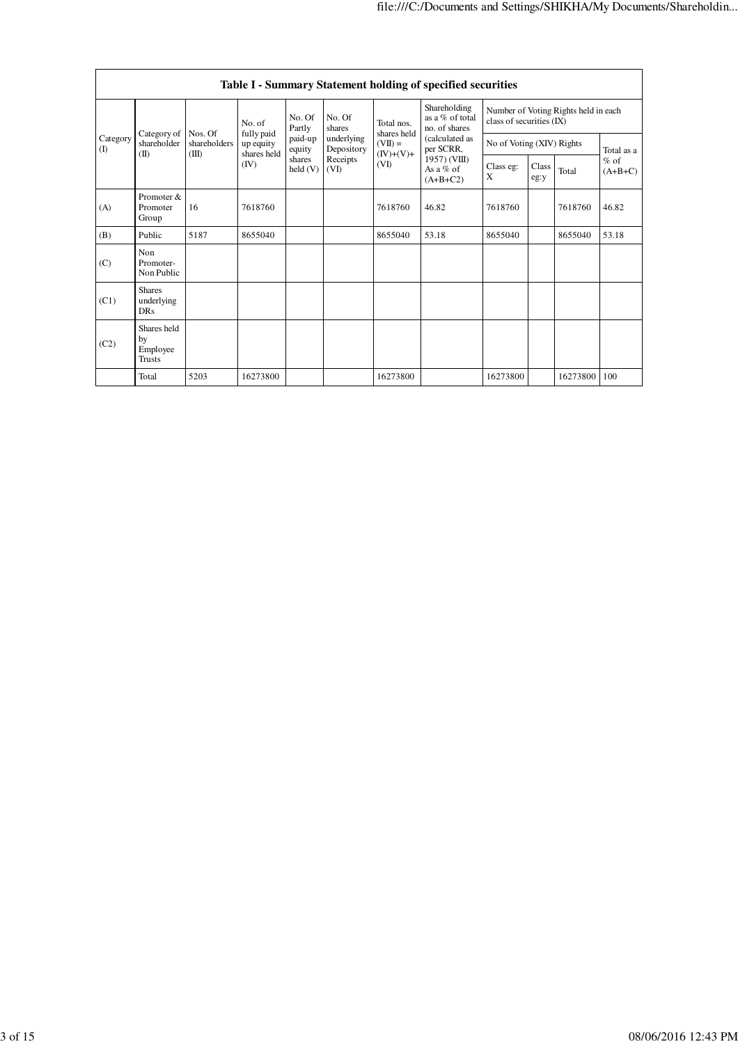|                                                                                                                                                       | Table I - Summary Statement holding of specified securities |                  |          |                                             |                          |                           |                                                  |                                                                  |  |          |            |
|-------------------------------------------------------------------------------------------------------------------------------------------------------|-------------------------------------------------------------|------------------|----------|---------------------------------------------|--------------------------|---------------------------|--------------------------------------------------|------------------------------------------------------------------|--|----------|------------|
| No. of<br>fully paid<br>Category of<br>Nos. Of<br>Category<br>shareholder<br>shareholders<br>up equity<br>(I)<br>shares held<br>(II)<br>(III)<br>(IV) |                                                             |                  |          | No. Of<br>Partly                            | No. Of<br>shares         | Total nos.<br>shares held | Shareholding<br>as a % of total<br>no. of shares | Number of Voting Rights held in each<br>class of securities (IX) |  |          |            |
|                                                                                                                                                       |                                                             |                  |          | paid-up<br>equity                           | underlying<br>Depository | $(VII) =$<br>$(IV)+(V)+$  | (calculated as<br>per SCRR,                      | No of Voting (XIV) Rights                                        |  |          | Total as a |
|                                                                                                                                                       | shares<br>held $(V)$                                        | Receipts<br>(VD) | (VI)     | $1957)$ (VIII)<br>As a $%$ of<br>$(A+B+C2)$ | Class eg:<br>X           | Class<br>eg:y             | Total                                            | $%$ of<br>$(A+B+C)$                                              |  |          |            |
| (A)                                                                                                                                                   | Promoter &<br>Promoter<br>Group                             | 16               | 7618760  |                                             |                          | 7618760                   | 46.82                                            | 7618760                                                          |  | 7618760  | 46.82      |
| (B)                                                                                                                                                   | Public                                                      | 5187             | 8655040  |                                             |                          | 8655040                   | 53.18                                            | 8655040                                                          |  | 8655040  | 53.18      |
| (C)                                                                                                                                                   | Non<br>Promoter-<br>Non Public                              |                  |          |                                             |                          |                           |                                                  |                                                                  |  |          |            |
| (C1)                                                                                                                                                  | <b>Shares</b><br>underlying<br><b>DRs</b>                   |                  |          |                                             |                          |                           |                                                  |                                                                  |  |          |            |
| (C2)                                                                                                                                                  | Shares held<br>by<br>Employee<br>Trusts                     |                  |          |                                             |                          |                           |                                                  |                                                                  |  |          |            |
|                                                                                                                                                       | Total                                                       | 5203             | 16273800 |                                             |                          | 16273800                  |                                                  | 16273800                                                         |  | 16273800 | 100        |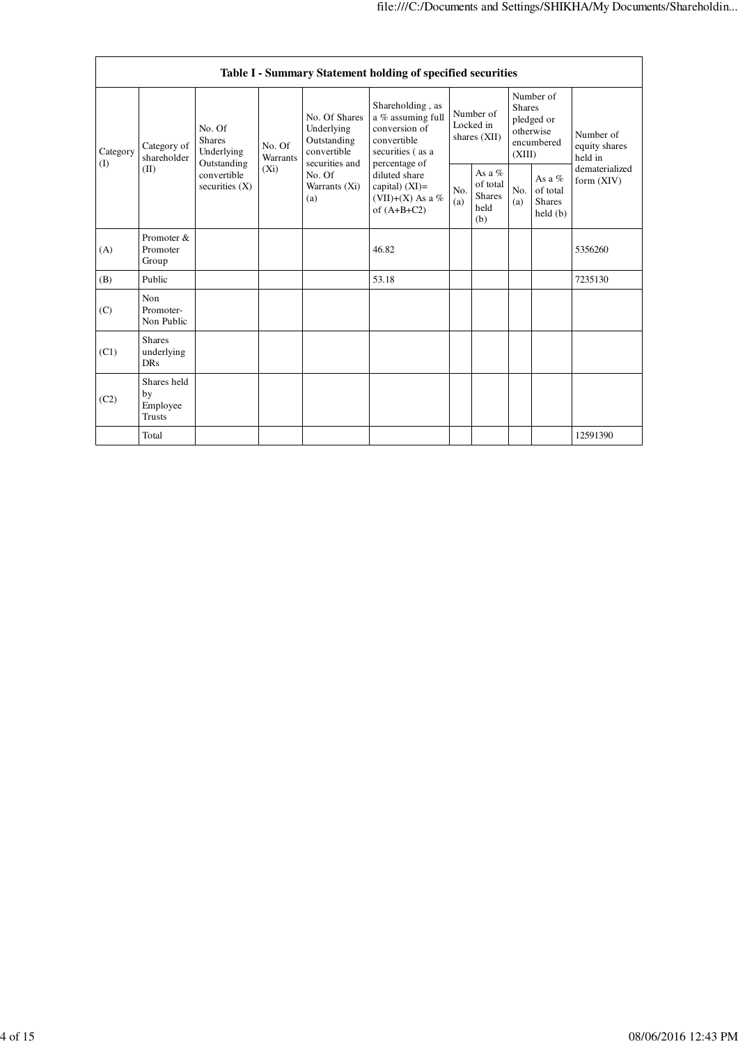|          | Table I - Summary Statement holding of specified securities |                                                |                    |                                                           |                                                                                           |                                        |                                                      |                                                                               |                                                  |                                       |
|----------|-------------------------------------------------------------|------------------------------------------------|--------------------|-----------------------------------------------------------|-------------------------------------------------------------------------------------------|----------------------------------------|------------------------------------------------------|-------------------------------------------------------------------------------|--------------------------------------------------|---------------------------------------|
| Category | Category of<br>shareholder                                  | No. Of<br><b>Shares</b><br>Underlying          | No. Of<br>Warrants | No. Of Shares<br>Underlying<br>Outstanding<br>convertible | Shareholding, as<br>a % assuming full<br>conversion of<br>convertible<br>securities (as a | Number of<br>Locked in<br>shares (XII) |                                                      | Number of<br><b>Shares</b><br>pledged or<br>otherwise<br>encumbered<br>(XIII) |                                                  | Number of<br>equity shares<br>held in |
| (I)      | (II)                                                        | Outstanding<br>convertible<br>securities $(X)$ | $(X_i)$            | securities and<br>No. Of<br>Warrants (Xi)<br>(a)          | percentage of<br>diluted share<br>capital) $(XI)$ =<br>(VII)+(X) As a %<br>of $(A+B+C2)$  | No.<br>(a)                             | As a $%$<br>of total<br><b>Shares</b><br>held<br>(b) | No.<br>(a)                                                                    | As a $%$<br>of total<br><b>Shares</b><br>held(b) | dematerialized<br>form (XIV)          |
| (A)      | Promoter &<br>Promoter<br>Group                             |                                                |                    |                                                           | 46.82                                                                                     |                                        |                                                      |                                                                               |                                                  | 5356260                               |
| (B)      | Public                                                      |                                                |                    |                                                           | 53.18                                                                                     |                                        |                                                      |                                                                               |                                                  | 7235130                               |
| (C)      | Non<br>Promoter-<br>Non Public                              |                                                |                    |                                                           |                                                                                           |                                        |                                                      |                                                                               |                                                  |                                       |
| (C1)     | <b>Shares</b><br>underlying<br><b>DRs</b>                   |                                                |                    |                                                           |                                                                                           |                                        |                                                      |                                                                               |                                                  |                                       |
| (C2)     | Shares held<br>by<br>Employee<br><b>Trusts</b>              |                                                |                    |                                                           |                                                                                           |                                        |                                                      |                                                                               |                                                  |                                       |
|          | Total                                                       |                                                |                    |                                                           |                                                                                           |                                        |                                                      |                                                                               |                                                  | 12591390                              |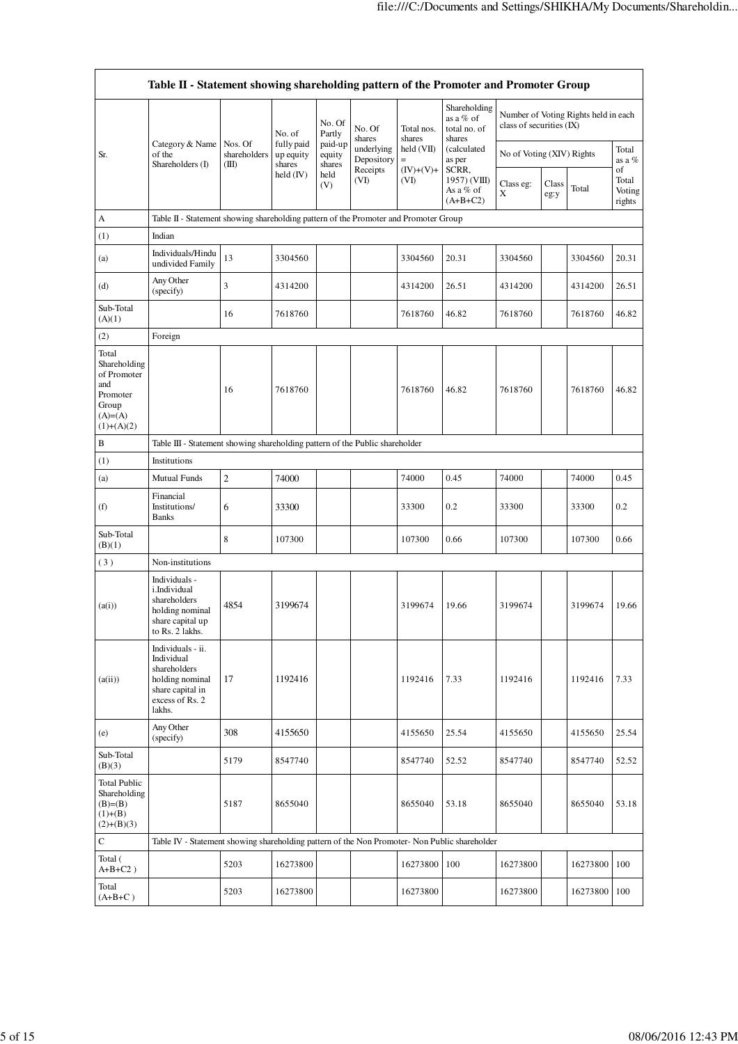|                                                                                                | Table II - Statement showing shareholding pattern of the Promoter and Promoter Group                                |                                  |                                   |                             |                          |                                 |                                                     |                           |               |                                      |                                 |
|------------------------------------------------------------------------------------------------|---------------------------------------------------------------------------------------------------------------------|----------------------------------|-----------------------------------|-----------------------------|--------------------------|---------------------------------|-----------------------------------------------------|---------------------------|---------------|--------------------------------------|---------------------------------|
|                                                                                                |                                                                                                                     |                                  | No. of                            | No. Of<br>Partly            | No. Of<br>shares         | Total nos.<br>shares            | Shareholding<br>as a % of<br>total no. of<br>shares | class of securities (IX)  |               | Number of Voting Rights held in each |                                 |
| Sr.                                                                                            | Category & Name<br>of the<br>Shareholders (I)                                                                       | Nos. Of<br>shareholders<br>(III) | fully paid<br>up equity<br>shares | paid-up<br>equity<br>shares | underlying<br>Depository | held (VII)<br>$\qquad \qquad =$ | (calculated<br>as per                               | No of Voting (XIV) Rights |               | Total<br>as a %                      |                                 |
|                                                                                                |                                                                                                                     |                                  | held (IV)                         | held<br>(V)                 | Receipts<br>(VI)         | $(IV)+(V)+$<br>(VI)             | SCRR,<br>1957) (VIII)<br>As a % of<br>$(A+B+C2)$    | Class eg:<br>X            | Class<br>eg:y | Total                                | of<br>Total<br>Voting<br>rights |
| A                                                                                              | Table II - Statement showing shareholding pattern of the Promoter and Promoter Group                                |                                  |                                   |                             |                          |                                 |                                                     |                           |               |                                      |                                 |
| (1)                                                                                            | Indian                                                                                                              |                                  |                                   |                             |                          |                                 |                                                     |                           |               |                                      |                                 |
| (a)                                                                                            | Individuals/Hindu<br>undivided Family                                                                               | 13                               | 3304560                           |                             |                          | 3304560                         | 20.31                                               | 3304560                   |               | 3304560                              | 20.31                           |
| (d)                                                                                            | Any Other<br>(specify)                                                                                              | 3                                | 4314200                           |                             |                          | 4314200                         | 26.51                                               | 4314200                   |               | 4314200                              | 26.51                           |
| Sub-Total<br>(A)(1)                                                                            |                                                                                                                     | 16                               | 7618760                           |                             |                          | 7618760                         | 46.82                                               | 7618760                   |               | 7618760                              | 46.82                           |
| (2)                                                                                            | Foreign                                                                                                             |                                  |                                   |                             |                          |                                 |                                                     |                           |               |                                      |                                 |
| Total<br>Shareholding<br>of Promoter<br>and<br>Promoter<br>Group<br>$(A)= (A)$<br>$(1)+(A)(2)$ |                                                                                                                     | 16                               | 7618760                           |                             |                          | 7618760                         | 46.82                                               | 7618760                   |               | 7618760                              | 46.82                           |
| B                                                                                              | Table III - Statement showing shareholding pattern of the Public shareholder                                        |                                  |                                   |                             |                          |                                 |                                                     |                           |               |                                      |                                 |
| (1)                                                                                            | Institutions                                                                                                        |                                  |                                   |                             |                          |                                 |                                                     |                           |               |                                      |                                 |
| (a)                                                                                            | <b>Mutual Funds</b>                                                                                                 | $\overline{c}$                   | 74000                             |                             |                          | 74000                           | 0.45                                                | 74000                     |               | 74000                                | 0.45                            |
| (f)                                                                                            | Financial<br>Institutions/<br><b>Banks</b>                                                                          | 6                                | 33300                             |                             |                          | 33300                           | 0.2                                                 | 33300                     |               | 33300                                | 0.2                             |
| Sub-Total<br>(B)(1)                                                                            |                                                                                                                     | 8                                | 107300                            |                             |                          | 107300                          | 0.66                                                | 107300                    |               | 107300                               | 0.66                            |
| (3)                                                                                            | Non-institutions                                                                                                    |                                  |                                   |                             |                          |                                 |                                                     |                           |               |                                      |                                 |
| (a(i))                                                                                         | Individuals -<br>i.Individual<br>shareholders<br>holding nominal<br>share capital up<br>to Rs. 2 lakhs.             | 4854                             | 3199674                           |                             |                          | 3199674                         | 19.66                                               | 3199674                   |               | 3199674                              | 19.66                           |
| (a(ii))                                                                                        | Individuals - ii.<br>Individual<br>shareholders<br>holding nominal<br>share capital in<br>excess of Rs. 2<br>lakhs. | 17                               | 1192416                           |                             |                          | 1192416                         | 7.33                                                | 1192416                   |               | 1192416                              | 7.33                            |
| (e)                                                                                            | Any Other<br>(specify)                                                                                              | 308                              | 4155650                           |                             |                          | 4155650                         | 25.54                                               | 4155650                   |               | 4155650                              | 25.54                           |
| Sub-Total<br>(B)(3)                                                                            |                                                                                                                     | 5179                             | 8547740                           |                             |                          | 8547740                         | 52.52                                               | 8547740                   |               | 8547740                              | 52.52                           |
| <b>Total Public</b><br>Shareholding<br>$(B)= (B)$<br>$(1)+(B)$<br>$(2)+(B)(3)$                 |                                                                                                                     | 5187                             | 8655040                           |                             |                          | 8655040                         | 53.18                                               | 8655040                   |               | 8655040                              | 53.18                           |
| $\mathbf C$                                                                                    | Table IV - Statement showing shareholding pattern of the Non Promoter- Non Public shareholder                       |                                  |                                   |                             |                          |                                 |                                                     |                           |               |                                      |                                 |
| Total (<br>$A+B+C2$ )                                                                          |                                                                                                                     | 5203                             | 16273800                          |                             |                          | 16273800                        | 100                                                 | 16273800                  |               | 16273800                             | 100                             |
| Total<br>$(A+B+C)$                                                                             |                                                                                                                     | 5203                             | 16273800                          |                             |                          | 16273800                        |                                                     | 16273800                  |               | 16273800                             | 100                             |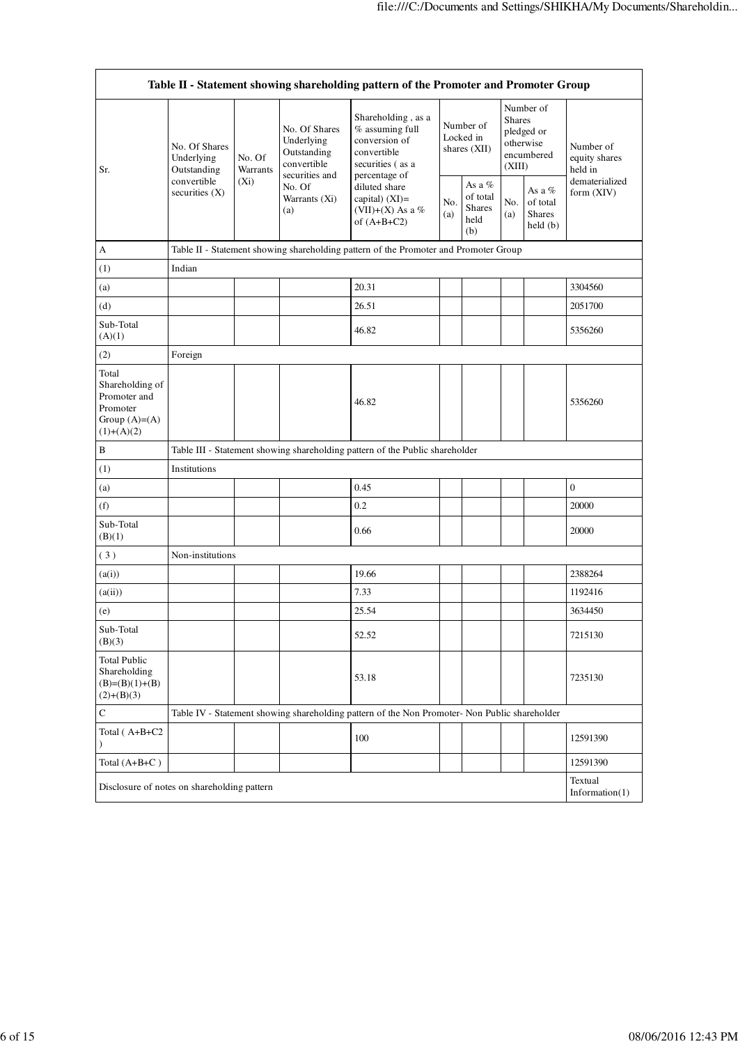$\overline{\phantom{a}}$ 

|                                                                                        | Table II - Statement showing shareholding pattern of the Promoter and Promoter Group |                    |                                                                             |                                                                                                            |            |                                                    |                                                                               |                                                  |                                       |
|----------------------------------------------------------------------------------------|--------------------------------------------------------------------------------------|--------------------|-----------------------------------------------------------------------------|------------------------------------------------------------------------------------------------------------|------------|----------------------------------------------------|-------------------------------------------------------------------------------|--------------------------------------------------|---------------------------------------|
| Sr.                                                                                    | No. Of Shares<br>Underlying<br>Outstanding<br>convertible<br>securities $(X)$        | No. Of<br>Warrants | No. Of Shares<br>Underlying<br>Outstanding<br>convertible<br>securities and | Shareholding, as a<br>% assuming full<br>conversion of<br>convertible<br>securities (as a<br>percentage of |            | Number of<br>Locked in<br>shares (XII)             | Number of<br><b>Shares</b><br>pledged or<br>otherwise<br>encumbered<br>(XIII) |                                                  | Number of<br>equity shares<br>held in |
|                                                                                        |                                                                                      | $(X_i)$            | No. Of<br>Warrants (Xi)<br>(a)                                              | diluted share<br>capital) $(XI)$ =<br>(VII)+(X) As a %<br>of $(A+B+C2)$                                    | No.<br>(a) | As a %<br>of total<br><b>Shares</b><br>held<br>(b) | No.<br>(a)                                                                    | As a $%$<br>of total<br><b>Shares</b><br>held(b) | dematerialized<br>form (XIV)          |
| А                                                                                      |                                                                                      |                    |                                                                             | Table II - Statement showing shareholding pattern of the Promoter and Promoter Group                       |            |                                                    |                                                                               |                                                  |                                       |
| (1)                                                                                    | Indian                                                                               |                    |                                                                             |                                                                                                            |            |                                                    |                                                                               |                                                  |                                       |
| (a)                                                                                    |                                                                                      |                    |                                                                             | 20.31                                                                                                      |            |                                                    |                                                                               |                                                  | 3304560                               |
| (d)                                                                                    |                                                                                      |                    |                                                                             | 26.51                                                                                                      |            |                                                    |                                                                               |                                                  | 2051700                               |
| Sub-Total<br>(A)(1)                                                                    |                                                                                      |                    |                                                                             | 46.82                                                                                                      |            |                                                    |                                                                               |                                                  | 5356260                               |
| (2)                                                                                    | Foreign                                                                              |                    |                                                                             |                                                                                                            |            |                                                    |                                                                               |                                                  |                                       |
| Total<br>Shareholding of<br>Promoter and<br>Promoter<br>Group $(A)=A)$<br>$(1)+(A)(2)$ |                                                                                      |                    |                                                                             | 46.82                                                                                                      |            |                                                    |                                                                               |                                                  | 5356260                               |
| B                                                                                      |                                                                                      |                    |                                                                             | Table III - Statement showing shareholding pattern of the Public shareholder                               |            |                                                    |                                                                               |                                                  |                                       |
| (1)                                                                                    | Institutions                                                                         |                    |                                                                             |                                                                                                            |            |                                                    |                                                                               |                                                  |                                       |
| (a)                                                                                    |                                                                                      |                    |                                                                             | 0.45                                                                                                       |            |                                                    |                                                                               |                                                  | $\overline{0}$                        |
| (f)                                                                                    |                                                                                      |                    |                                                                             | 0.2                                                                                                        |            |                                                    |                                                                               |                                                  | 20000                                 |
| Sub-Total<br>(B)(1)                                                                    |                                                                                      |                    |                                                                             | 0.66                                                                                                       |            |                                                    |                                                                               |                                                  | 20000                                 |
| (3)                                                                                    | Non-institutions                                                                     |                    |                                                                             |                                                                                                            |            |                                                    |                                                                               |                                                  |                                       |
| (a(i))                                                                                 |                                                                                      |                    |                                                                             | 19.66                                                                                                      |            |                                                    |                                                                               |                                                  | 2388264                               |
| (a(ii))                                                                                |                                                                                      |                    |                                                                             | 7.33                                                                                                       |            |                                                    |                                                                               |                                                  | 1192416                               |
| (e)                                                                                    |                                                                                      |                    |                                                                             | 25.54                                                                                                      |            |                                                    |                                                                               |                                                  | 3634450                               |
| Sub-Total<br>(B)(3)                                                                    |                                                                                      |                    |                                                                             | 52.52                                                                                                      |            |                                                    |                                                                               |                                                  | 7215130                               |
| <b>Total Public</b><br>Shareholding<br>$(B)=(B)(1)+(B)$<br>$(2)+(B)(3)$                |                                                                                      |                    |                                                                             | 53.18                                                                                                      |            |                                                    |                                                                               |                                                  | 7235130                               |
| $\mathbf C$                                                                            |                                                                                      |                    |                                                                             | Table IV - Statement showing shareholding pattern of the Non Promoter- Non Public shareholder              |            |                                                    |                                                                               |                                                  |                                       |
| Total (A+B+C2<br>$\lambda$                                                             |                                                                                      |                    |                                                                             | 100                                                                                                        |            |                                                    |                                                                               |                                                  | 12591390                              |
| Total $(A+B+C)$                                                                        |                                                                                      |                    |                                                                             |                                                                                                            |            |                                                    |                                                                               |                                                  | 12591390                              |
|                                                                                        | Disclosure of notes on shareholding pattern                                          |                    |                                                                             |                                                                                                            |            |                                                    |                                                                               |                                                  | Textual<br>Information $(1)$          |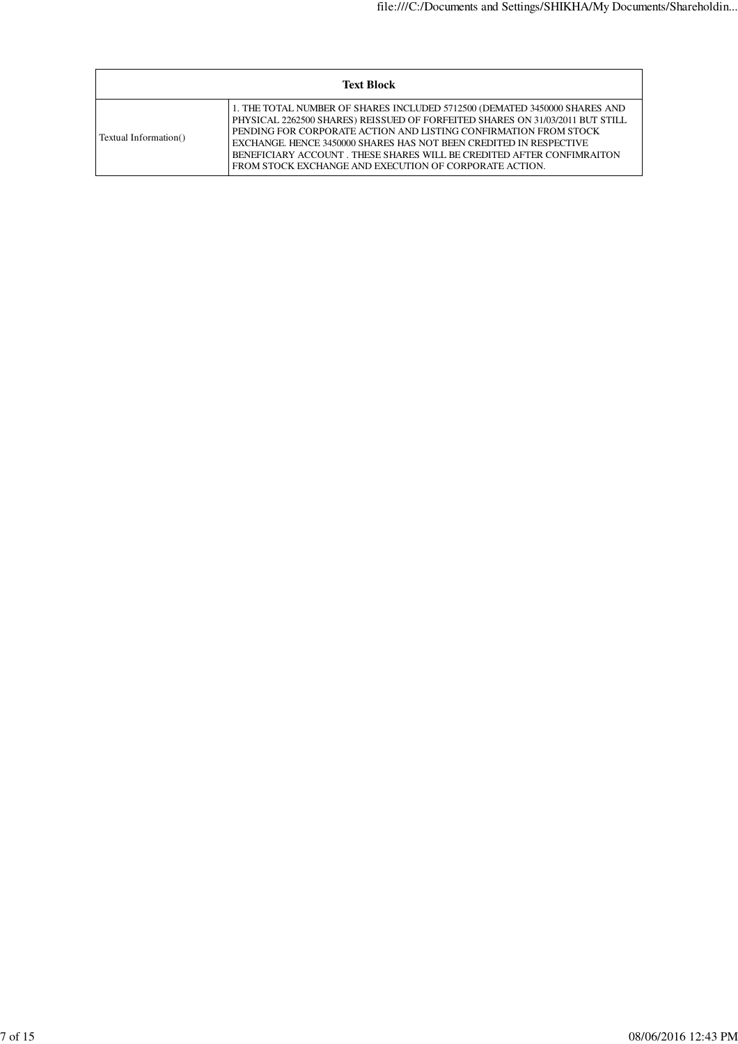| <b>Text Block</b>     |                                                                                                                                                                                                                                                                                                                                                                                                                                          |  |  |  |  |  |  |
|-----------------------|------------------------------------------------------------------------------------------------------------------------------------------------------------------------------------------------------------------------------------------------------------------------------------------------------------------------------------------------------------------------------------------------------------------------------------------|--|--|--|--|--|--|
| Textual Information() | 1. THE TOTAL NUMBER OF SHARES INCLUDED 5712500 (DEMATED 3450000 SHARES AND<br>PHYSICAL 2262500 SHARES) REISSUED OF FORFEITED SHARES ON 31/03/2011 BUT STILL<br>PENDING FOR CORPORATE ACTION AND LISTING CONFIRMATION FROM STOCK<br>EXCHANGE. HENCE 3450000 SHARES HAS NOT BEEN CREDITED IN RESPECTIVE<br>BENEFICIARY ACCOUNT. THESE SHARES WILL BE CREDITED AFTER CONFIMRAITON<br>FROM STOCK EXCHANGE AND EXECUTION OF CORPORATE ACTION. |  |  |  |  |  |  |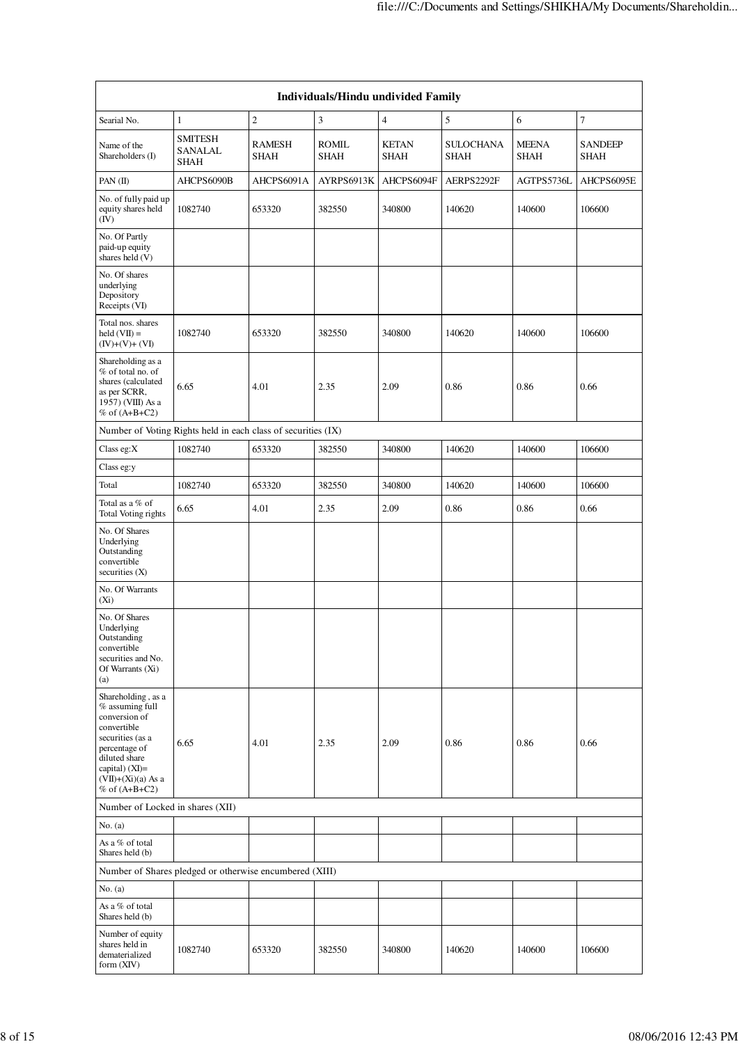|                                                                                                                                                                                                | Individuals/Hindu undivided Family              |                |               |                      |                                 |                             |                               |  |  |
|------------------------------------------------------------------------------------------------------------------------------------------------------------------------------------------------|-------------------------------------------------|----------------|---------------|----------------------|---------------------------------|-----------------------------|-------------------------------|--|--|
| Searial No.                                                                                                                                                                                    | $\mathbf{1}$                                    | $\overline{c}$ | 3             | 4                    | 5                               | 6                           | 7                             |  |  |
| Name of the<br>Shareholders (I)                                                                                                                                                                | <b>SMITESH</b><br><b>SANALAL</b><br><b>SHAH</b> | RAMESH<br>SHAH | ROMIL<br>SHAH | <b>KETAN</b><br>SHAH | <b>SULOCHANA</b><br><b>SHAH</b> | <b>MEENA</b><br><b>SHAH</b> | <b>SANDEEP</b><br><b>SHAH</b> |  |  |
| PAN $(II)$                                                                                                                                                                                     | AHCPS6090B                                      | AHCPS6091A     | AYRPS6913K    | AHCPS6094F           | AERPS2292F                      | AGTPS5736L                  | AHCPS6095E                    |  |  |
| No. of fully paid up<br>equity shares held<br>(IV)                                                                                                                                             | 1082740                                         | 653320         | 382550        | 340800               | 140620                          | 140600                      | 106600                        |  |  |
| No. Of Partly<br>paid-up equity<br>shares held (V)                                                                                                                                             |                                                 |                |               |                      |                                 |                             |                               |  |  |
| No. Of shares<br>underlying<br>Depository<br>Receipts (VI)                                                                                                                                     |                                                 |                |               |                      |                                 |                             |                               |  |  |
| Total nos. shares<br>$\text{held}(\text{VII}) =$<br>$(IV)+(V)+(VI)$                                                                                                                            | 1082740                                         | 653320         | 382550        | 340800               | 140620                          | 140600                      | 106600                        |  |  |
| Shareholding as a<br>% of total no. of<br>shares (calculated<br>as per SCRR,<br>1957) (VIII) As a<br>$%$ of $(A+B+C2)$                                                                         | 6.65                                            | 4.01           | 2.35          | 2.09                 | 0.86                            | 0.86                        | 0.66                          |  |  |
| Number of Voting Rights held in each class of securities (IX)                                                                                                                                  |                                                 |                |               |                      |                                 |                             |                               |  |  |
| Class eg: $X$                                                                                                                                                                                  | 1082740                                         | 653320         | 382550        | 340800               | 140620                          | 140600                      | 106600                        |  |  |
| Class eg:y                                                                                                                                                                                     |                                                 |                |               |                      |                                 |                             |                               |  |  |
| Total                                                                                                                                                                                          | 1082740                                         | 653320         | 382550        | 340800               | 140620                          | 140600                      | 106600                        |  |  |
| Total as a % of<br>Total Voting rights                                                                                                                                                         | 6.65                                            | 4.01           | 2.35          | 2.09                 | 0.86                            | 0.86                        | 0.66                          |  |  |
| No. Of Shares<br>Underlying<br>Outstanding<br>convertible<br>securities $(X)$                                                                                                                  |                                                 |                |               |                      |                                 |                             |                               |  |  |
| No. Of Warrants<br>$(X_i)$                                                                                                                                                                     |                                                 |                |               |                      |                                 |                             |                               |  |  |
| No. Of Shares<br>Underlying<br>Outstanding<br>convertible<br>securities and No.<br>Of Warrants (Xi)<br>(a)                                                                                     |                                                 |                |               |                      |                                 |                             |                               |  |  |
| Shareholding, as a<br>$%$ assuming full<br>conversion of<br>convertible<br>securities (as a<br>percentage of<br>diluted share<br>capital) $(XI)=$<br>$(VII)+(Xi)(a)$ As a<br>$%$ of $(A+B+C2)$ | 6.65                                            | 4.01           | 2.35          | 2.09                 | 0.86                            | 0.86                        | 0.66                          |  |  |
| Number of Locked in shares (XII)                                                                                                                                                               |                                                 |                |               |                      |                                 |                             |                               |  |  |
| No. (a)                                                                                                                                                                                        |                                                 |                |               |                      |                                 |                             |                               |  |  |
| As a % of total<br>Shares held (b)                                                                                                                                                             |                                                 |                |               |                      |                                 |                             |                               |  |  |
| Number of Shares pledged or otherwise encumbered (XIII)                                                                                                                                        |                                                 |                |               |                      |                                 |                             |                               |  |  |
| No. (a)                                                                                                                                                                                        |                                                 |                |               |                      |                                 |                             |                               |  |  |
| As a % of total<br>Shares held (b)                                                                                                                                                             |                                                 |                |               |                      |                                 |                             |                               |  |  |
| Number of equity<br>shares held in<br>dematerialized<br>form $(XIV)$                                                                                                                           | 1082740                                         | 653320         | 382550        | 340800               | 140620                          | 140600                      | 106600                        |  |  |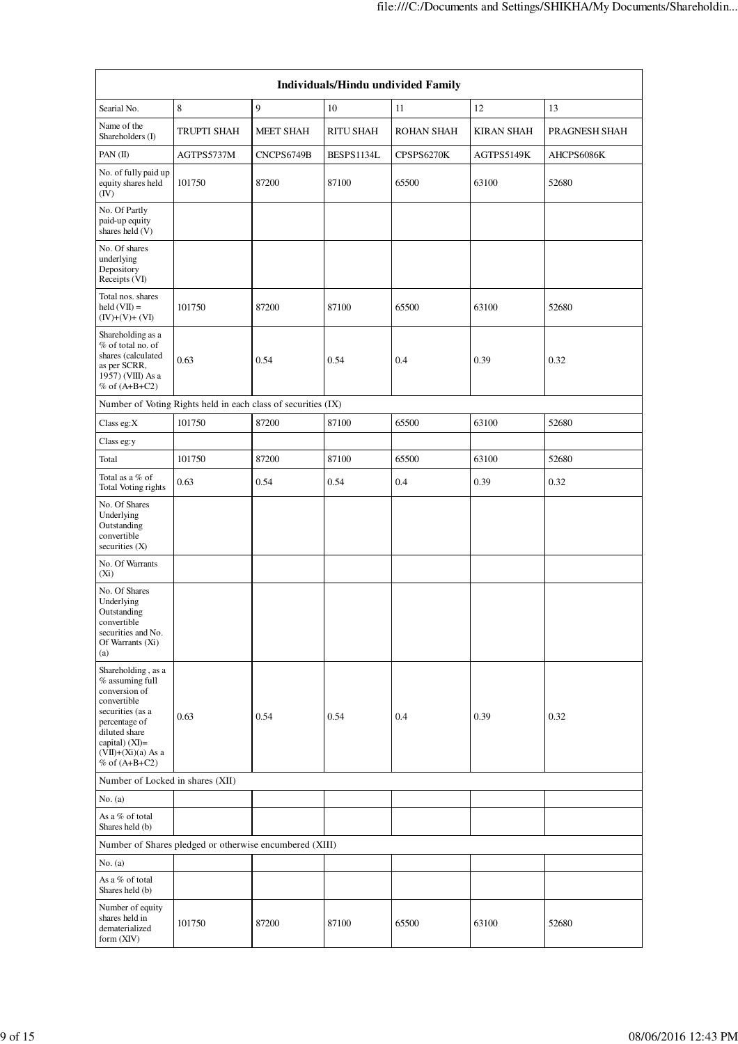| Individuals/Hindu undivided Family                                                                                                                                                         |                                                               |            |                  |                   |                   |               |  |  |
|--------------------------------------------------------------------------------------------------------------------------------------------------------------------------------------------|---------------------------------------------------------------|------------|------------------|-------------------|-------------------|---------------|--|--|
| Searial No.                                                                                                                                                                                | 8                                                             | 9          | 10               | 11                | 12                | 13            |  |  |
| Name of the<br>Shareholders (I)                                                                                                                                                            | TRUPTI SHAH                                                   | MEET SHAH  | <b>RITU SHAH</b> | <b>ROHAN SHAH</b> | <b>KIRAN SHAH</b> | PRAGNESH SHAH |  |  |
| PAN (II)                                                                                                                                                                                   | AGTPS5737M                                                    | CNCPS6749B | BESPS1134L       | CPSPS6270K        | AGTPS5149K        | AHCPS6086K    |  |  |
| No. of fully paid up<br>equity shares held<br>(IV)                                                                                                                                         | 101750                                                        | 87200      | 87100            | 65500             | 63100             | 52680         |  |  |
| No. Of Partly<br>paid-up equity<br>shares held (V)                                                                                                                                         |                                                               |            |                  |                   |                   |               |  |  |
| No. Of shares<br>underlying<br>Depository<br>Receipts (VI)                                                                                                                                 |                                                               |            |                  |                   |                   |               |  |  |
| Total nos. shares<br>$\text{held}(\text{VII}) =$<br>$(IV)+(V)+(VI)$                                                                                                                        | 101750                                                        | 87200      | 87100            | 65500             | 63100             | 52680         |  |  |
| Shareholding as a<br>% of total no. of<br>shares (calculated<br>as per SCRR,<br>1957) (VIII) As a<br>$%$ of $(A+B+C2)$                                                                     | 0.63                                                          | 0.54       | 0.54             | 0.4               | 0.39              | 0.32          |  |  |
|                                                                                                                                                                                            | Number of Voting Rights held in each class of securities (IX) |            |                  |                   |                   |               |  |  |
| Class eg:X                                                                                                                                                                                 | 101750                                                        | 87200      | 87100            | 65500             | 63100             | 52680         |  |  |
| Class eg:y                                                                                                                                                                                 |                                                               |            |                  |                   |                   |               |  |  |
| Total                                                                                                                                                                                      | 101750                                                        | 87200      | 87100            | 65500             | 63100             | 52680         |  |  |
| Total as a % of<br>Total Voting rights                                                                                                                                                     | 0.63                                                          | 0.54       | 0.54             | 0.4               | 0.39              | 0.32          |  |  |
| No. Of Shares<br>Underlying<br>Outstanding<br>convertible<br>securities $(X)$                                                                                                              |                                                               |            |                  |                   |                   |               |  |  |
| No. Of Warrants<br>$(X_i)$                                                                                                                                                                 |                                                               |            |                  |                   |                   |               |  |  |
| No. Of Shares<br>Underlying<br>Outstanding<br>convertible<br>securities and No.<br>Of Warrants (Xi)<br>(a)                                                                                 |                                                               |            |                  |                   |                   |               |  |  |
| Shareholding, as a<br>% assuming full<br>conversion of<br>convertible<br>securities (as a<br>percentage of<br>diluted share<br>capital) $(XI)=$<br>$(VII)+(Xi)(a)$ As a<br>% of $(A+B+C2)$ | 0.63                                                          | 0.54       | 0.54             | 0.4               | 0.39              | 0.32          |  |  |
| Number of Locked in shares (XII)                                                                                                                                                           |                                                               |            |                  |                   |                   |               |  |  |
| No. (a)                                                                                                                                                                                    |                                                               |            |                  |                   |                   |               |  |  |
| As a % of total<br>Shares held (b)                                                                                                                                                         |                                                               |            |                  |                   |                   |               |  |  |
|                                                                                                                                                                                            | Number of Shares pledged or otherwise encumbered (XIII)       |            |                  |                   |                   |               |  |  |
| No. (a)                                                                                                                                                                                    |                                                               |            |                  |                   |                   |               |  |  |
| As a % of total<br>Shares held (b)                                                                                                                                                         |                                                               |            |                  |                   |                   |               |  |  |
| Number of equity<br>shares held in<br>dematerialized<br>form (XIV)                                                                                                                         | 101750                                                        | 87200      | 87100            | 65500             | 63100             | 52680         |  |  |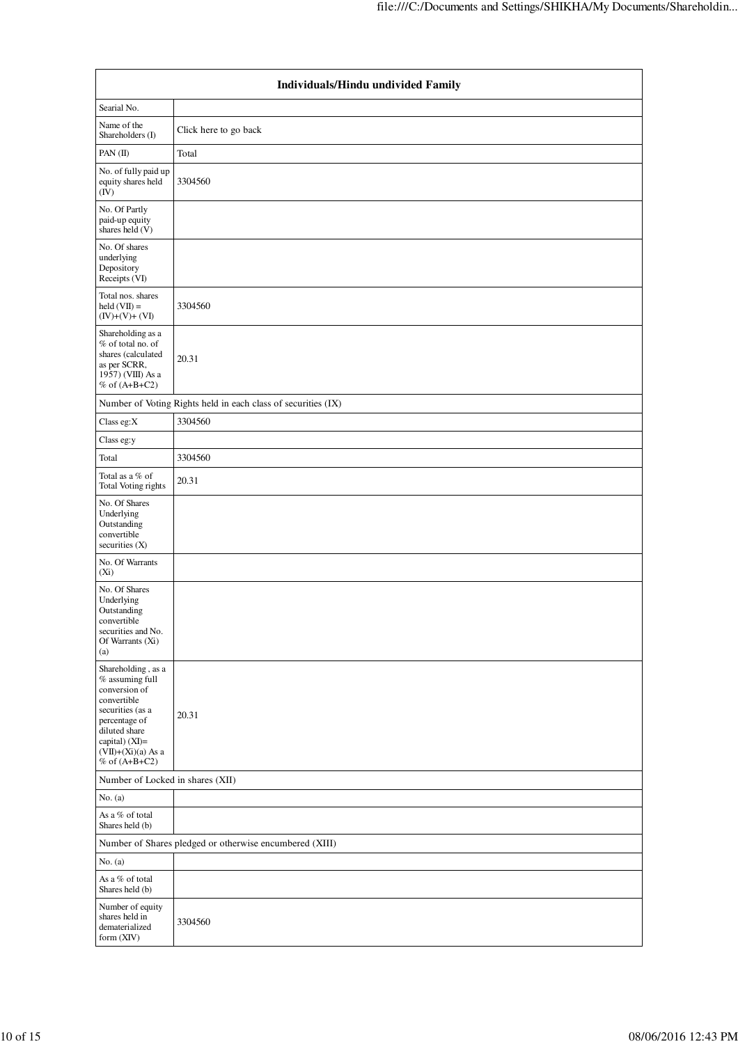|                                                                                                                                                                                            | Individuals/Hindu undivided Family                            |  |  |  |  |  |  |  |
|--------------------------------------------------------------------------------------------------------------------------------------------------------------------------------------------|---------------------------------------------------------------|--|--|--|--|--|--|--|
| Searial No.                                                                                                                                                                                |                                                               |  |  |  |  |  |  |  |
| Name of the<br>Shareholders (I)                                                                                                                                                            | Click here to go back                                         |  |  |  |  |  |  |  |
| PAN (II)                                                                                                                                                                                   | Total                                                         |  |  |  |  |  |  |  |
| No. of fully paid up<br>equity shares held<br>$(\bar{IV})$                                                                                                                                 | 3304560                                                       |  |  |  |  |  |  |  |
| No. Of Partly<br>paid-up equity<br>shares held (V)                                                                                                                                         |                                                               |  |  |  |  |  |  |  |
| No. Of shares<br>underlying<br>Depository<br>Receipts (VI)                                                                                                                                 |                                                               |  |  |  |  |  |  |  |
| Total nos. shares<br>$\text{held}(\text{VII}) =$<br>$(IV)+(V)+(VI)$                                                                                                                        | 3304560                                                       |  |  |  |  |  |  |  |
| Shareholding as a<br>% of total no. of<br>shares (calculated<br>as per SCRR,<br>1957) (VIII) As a<br>$%$ of $(A+B+C2)$                                                                     | 20.31                                                         |  |  |  |  |  |  |  |
|                                                                                                                                                                                            | Number of Voting Rights held in each class of securities (IX) |  |  |  |  |  |  |  |
| Class eg:X                                                                                                                                                                                 | 3304560                                                       |  |  |  |  |  |  |  |
| Class eg:y                                                                                                                                                                                 |                                                               |  |  |  |  |  |  |  |
| Total                                                                                                                                                                                      | 3304560                                                       |  |  |  |  |  |  |  |
| Total as a % of<br>Total Voting rights                                                                                                                                                     | 20.31                                                         |  |  |  |  |  |  |  |
| No. Of Shares<br>Underlying<br>Outstanding<br>convertible<br>securities (X)                                                                                                                |                                                               |  |  |  |  |  |  |  |
| No. Of Warrants<br>$(X_i)$                                                                                                                                                                 |                                                               |  |  |  |  |  |  |  |
| No. Of Shares<br>Underlying<br>Outstanding<br>convertible<br>securities and No.<br>Of Warrants (Xi)<br>(a)                                                                                 |                                                               |  |  |  |  |  |  |  |
| Shareholding, as a<br>% assuming full<br>conversion of<br>convertible<br>securities (as a<br>percentage of<br>diluted share<br>capital) (XI)=<br>$(VII)+(Xi)(a)$ As a<br>$%$ of $(A+B+C2)$ | 20.31                                                         |  |  |  |  |  |  |  |
| Number of Locked in shares (XII)                                                                                                                                                           |                                                               |  |  |  |  |  |  |  |
| No. (a)                                                                                                                                                                                    |                                                               |  |  |  |  |  |  |  |
| As a % of total<br>Shares held (b)                                                                                                                                                         |                                                               |  |  |  |  |  |  |  |
|                                                                                                                                                                                            | Number of Shares pledged or otherwise encumbered (XIII)       |  |  |  |  |  |  |  |
| No. (a)                                                                                                                                                                                    |                                                               |  |  |  |  |  |  |  |
| As a % of total<br>Shares held (b)                                                                                                                                                         |                                                               |  |  |  |  |  |  |  |
| Number of equity<br>shares held in<br>dematerialized<br>form (XIV)                                                                                                                         | 3304560                                                       |  |  |  |  |  |  |  |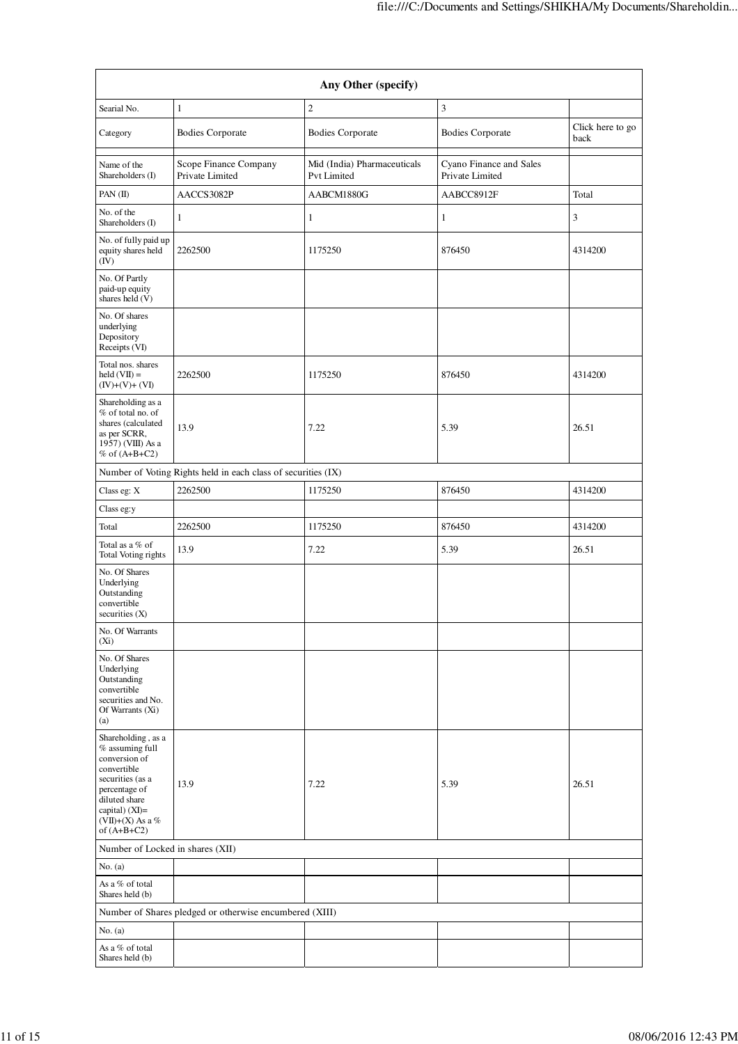| Any Other (specify)                                                                                                                                                                  |                                                               |                                            |                                            |                          |  |  |  |  |  |
|--------------------------------------------------------------------------------------------------------------------------------------------------------------------------------------|---------------------------------------------------------------|--------------------------------------------|--------------------------------------------|--------------------------|--|--|--|--|--|
| Searial No.                                                                                                                                                                          | $\mathbf{1}$                                                  | $\overline{2}$                             | 3                                          |                          |  |  |  |  |  |
| Category                                                                                                                                                                             | <b>Bodies Corporate</b>                                       | <b>Bodies Corporate</b>                    | <b>Bodies Corporate</b>                    | Click here to go<br>back |  |  |  |  |  |
| Name of the<br>Shareholders (I)                                                                                                                                                      | Scope Finance Company<br>Private Limited                      | Mid (India) Pharmaceuticals<br>Pvt Limited | Cyano Finance and Sales<br>Private Limited |                          |  |  |  |  |  |
| PAN $(II)$                                                                                                                                                                           | AACCS3082P                                                    | AABCM1880G                                 | AABCC8912F                                 | Total                    |  |  |  |  |  |
| No. of the<br>Shareholders (I)                                                                                                                                                       | 1                                                             | $\mathbf{1}$                               | 1                                          | 3                        |  |  |  |  |  |
| No. of fully paid up<br>equity shares held<br>(IV)                                                                                                                                   | 2262500                                                       | 1175250                                    | 876450                                     | 4314200                  |  |  |  |  |  |
| No. Of Partly<br>paid-up equity<br>shares held (V)                                                                                                                                   |                                                               |                                            |                                            |                          |  |  |  |  |  |
| No. Of shares<br>underlying<br>Depository<br>Receipts (VI)                                                                                                                           |                                                               |                                            |                                            |                          |  |  |  |  |  |
| Total nos. shares<br>$\text{held}(\text{VII}) =$<br>$(IV)+(V)+(VI)$                                                                                                                  | 2262500                                                       | 1175250                                    | 876450                                     | 4314200                  |  |  |  |  |  |
| Shareholding as a<br>% of total no. of<br>shares (calculated<br>as per SCRR,<br>1957) (VIII) As a<br>% of $(A+B+C2)$                                                                 | 13.9                                                          | 7.22                                       | 5.39                                       | 26.51                    |  |  |  |  |  |
|                                                                                                                                                                                      | Number of Voting Rights held in each class of securities (IX) |                                            |                                            |                          |  |  |  |  |  |
| Class eg: X                                                                                                                                                                          | 2262500                                                       | 1175250                                    | 876450                                     | 4314200                  |  |  |  |  |  |
| Class eg:y                                                                                                                                                                           |                                                               |                                            |                                            |                          |  |  |  |  |  |
| Total                                                                                                                                                                                | 2262500                                                       | 1175250                                    | 876450                                     | 4314200                  |  |  |  |  |  |
| Total as a % of<br>Total Voting rights                                                                                                                                               | 13.9                                                          | 7.22                                       | 5.39                                       | 26.51                    |  |  |  |  |  |
| No. Of Shares<br>Underlying<br>Outstanding<br>convertible<br>securities $(X)$                                                                                                        |                                                               |                                            |                                            |                          |  |  |  |  |  |
| No. Of Warrants<br>$(X_i)$                                                                                                                                                           |                                                               |                                            |                                            |                          |  |  |  |  |  |
| No. Of Shares<br>Underlying<br>Outstanding<br>convertible<br>securities and No.<br>Of Warrants (Xi)<br>(a)                                                                           |                                                               |                                            |                                            |                          |  |  |  |  |  |
| Shareholding, as a<br>% assuming full<br>conversion of<br>convertible<br>securities (as a<br>percentage of<br>diluted share<br>capital) $(XI)=$<br>(VII)+(X) As a %<br>of $(A+B+C2)$ | 13.9                                                          | 7.22                                       | 5.39                                       | 26.51                    |  |  |  |  |  |
| Number of Locked in shares (XII)                                                                                                                                                     |                                                               |                                            |                                            |                          |  |  |  |  |  |
| No. (a)                                                                                                                                                                              |                                                               |                                            |                                            |                          |  |  |  |  |  |
| As a % of total<br>Shares held (b)                                                                                                                                                   |                                                               |                                            |                                            |                          |  |  |  |  |  |
|                                                                                                                                                                                      | Number of Shares pledged or otherwise encumbered (XIII)       |                                            |                                            |                          |  |  |  |  |  |
| No. $(a)$                                                                                                                                                                            |                                                               |                                            |                                            |                          |  |  |  |  |  |
| As a % of total<br>Shares held (b)                                                                                                                                                   |                                                               |                                            |                                            |                          |  |  |  |  |  |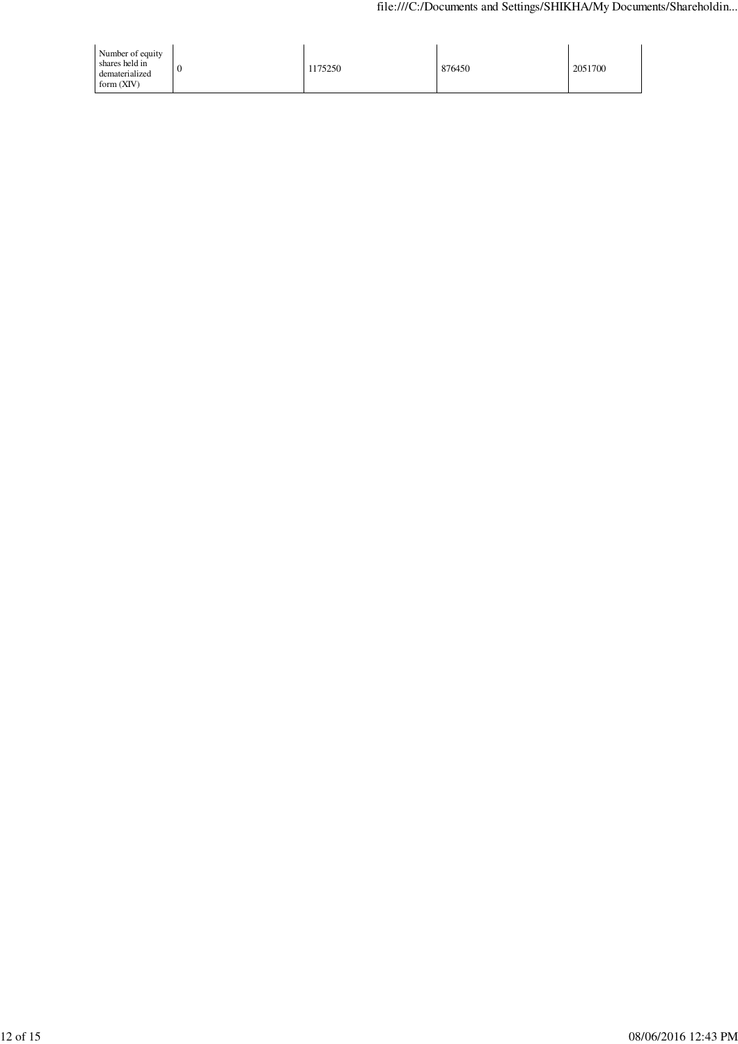| Number of equity<br>shares held in<br>dematerialized<br>form $(XIV)$ | 175250 | 876450 | 2051700 |
|----------------------------------------------------------------------|--------|--------|---------|
|----------------------------------------------------------------------|--------|--------|---------|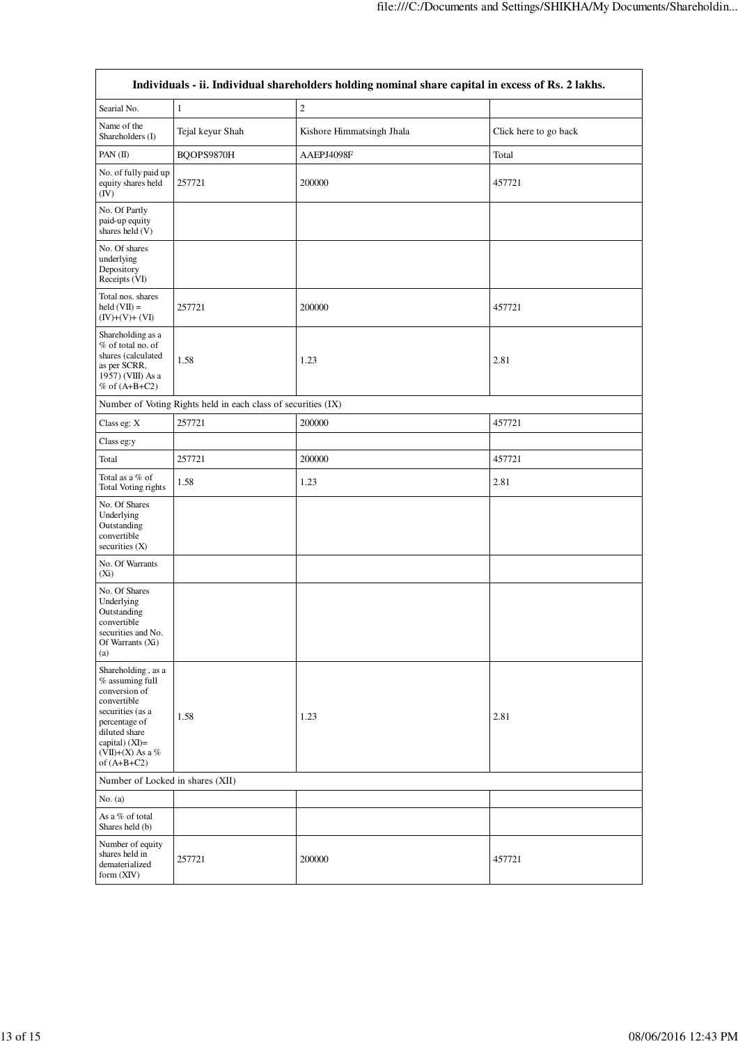| Individuals - ii. Individual shareholders holding nominal share capital in excess of Rs. 2 lakhs.                                                                                    |                  |                           |                       |  |  |  |  |  |
|--------------------------------------------------------------------------------------------------------------------------------------------------------------------------------------|------------------|---------------------------|-----------------------|--|--|--|--|--|
| Searial No.                                                                                                                                                                          | $\mathbf{1}$     | $\overline{c}$            |                       |  |  |  |  |  |
| Name of the<br>Shareholders (I)                                                                                                                                                      | Tejal keyur Shah | Kishore Himmatsingh Jhala | Click here to go back |  |  |  |  |  |
| PAN (II)                                                                                                                                                                             | BQOPS9870H       | AAEPJ4098F                | Total                 |  |  |  |  |  |
| No. of fully paid up<br>equity shares held<br>(IV)                                                                                                                                   | 257721           | 200000                    | 457721                |  |  |  |  |  |
| No. Of Partly<br>paid-up equity<br>shares held (V)                                                                                                                                   |                  |                           |                       |  |  |  |  |  |
| No. Of shares<br>underlying<br>Depository<br>Receipts (VI)                                                                                                                           |                  |                           |                       |  |  |  |  |  |
| Total nos. shares<br>$held (VII) =$<br>$(IV)+(V)+(VI)$                                                                                                                               | 257721           | 200000                    | 457721                |  |  |  |  |  |
| Shareholding as a<br>% of total no. of<br>shares (calculated<br>as per SCRR,<br>1957) (VIII) As a<br>% of $(A+B+C2)$                                                                 | 1.58             | 1.23                      | 2.81                  |  |  |  |  |  |
| Number of Voting Rights held in each class of securities (IX)                                                                                                                        |                  |                           |                       |  |  |  |  |  |
| Class eg: X                                                                                                                                                                          | 257721           | 200000                    | 457721                |  |  |  |  |  |
| Class eg:y                                                                                                                                                                           |                  |                           |                       |  |  |  |  |  |
| Total                                                                                                                                                                                | 257721           | 200000                    | 457721                |  |  |  |  |  |
| Total as a % of<br>Total Voting rights                                                                                                                                               | 1.58             | 1.23                      | 2.81                  |  |  |  |  |  |
| No. Of Shares<br>Underlying<br>Outstanding<br>convertible<br>securities $(X)$                                                                                                        |                  |                           |                       |  |  |  |  |  |
| No. Of Warrants<br>$(X_i)$                                                                                                                                                           |                  |                           |                       |  |  |  |  |  |
| No. Of Shares<br>Underlying<br>Outstanding<br>convertible<br>securities and No.<br>Of Warrants (Xi)<br>(a)                                                                           |                  |                           |                       |  |  |  |  |  |
| Shareholding, as a<br>% assuming full<br>conversion of<br>convertible<br>securities (as a<br>percentage of<br>diluted share<br>capital) $(XI)=$<br>(VII)+(X) As a %<br>of $(A+B+C2)$ | 1.58             | 1.23                      | 2.81                  |  |  |  |  |  |
| Number of Locked in shares (XII)                                                                                                                                                     |                  |                           |                       |  |  |  |  |  |
| No. (a)                                                                                                                                                                              |                  |                           |                       |  |  |  |  |  |
| As a % of total<br>Shares held (b)                                                                                                                                                   |                  |                           |                       |  |  |  |  |  |
| Number of equity<br>shares held in<br>dematerialized<br>form (XIV)                                                                                                                   | 257721           | 200000                    | 457721                |  |  |  |  |  |